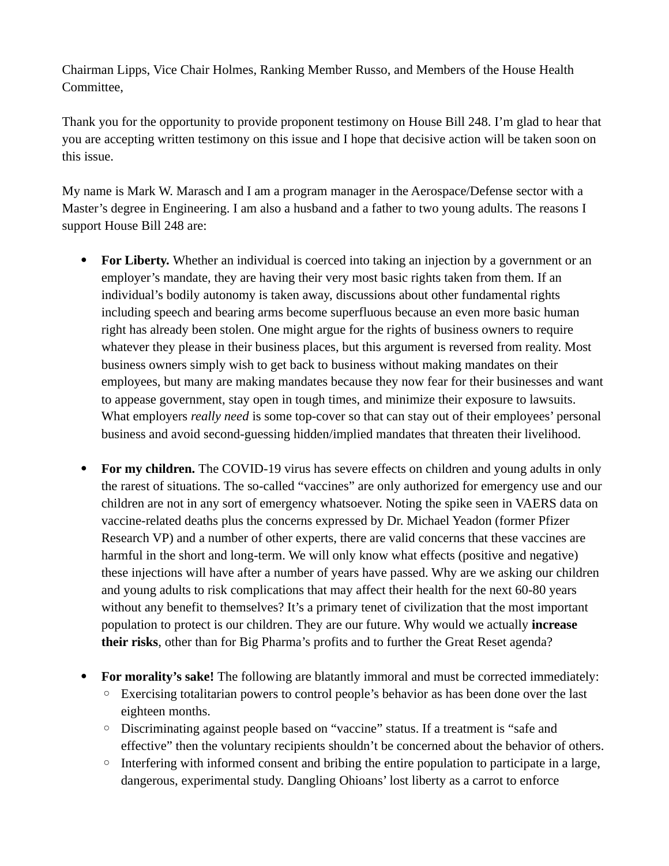Chairman Lipps, Vice Chair Holmes, Ranking Member Russo, and Members of the House Health Committee,

Thank you for the opportunity to provide proponent testimony on House Bill 248. I'm glad to hear that you are accepting written testimony on this issue and I hope that decisive action will be taken soon on this issue.

My name is Mark W. Marasch and I am a program manager in the Aerospace/Defense sector with a Master's degree in Engineering. I am also a husband and a father to two young adults. The reasons I support House Bill 248 are:

- For Liberty. Whether an individual is coerced into taking an injection by a government or an employer's mandate, they are having their very most basic rights taken from them. If an individual's bodily autonomy is taken away, discussions about other fundamental rights including speech and bearing arms become superfluous because an even more basic human right has already been stolen. One might argue for the rights of business owners to require whatever they please in their business places, but this argument is reversed from reality. Most business owners simply wish to get back to business without making mandates on their employees, but many are making mandates because they now fear for their businesses and want to appease government, stay open in tough times, and minimize their exposure to lawsuits. What employers *really need* is some top-cover so that can stay out of their employees' personal business and avoid second-guessing hidden/implied mandates that threaten their livelihood.
- **For my children.** The COVID-19 virus has severe effects on children and young adults in only the rarest of situations. The so-called "vaccines" are only authorized for emergency use and our children are not in any sort of emergency whatsoever. Noting the spike seen in VAERS data on vaccine-related deaths plus the concerns expressed by Dr. Michael Yeadon (former Pfizer Research VP) and a number of other experts, there are valid concerns that these vaccines are harmful in the short and long-term. We will only know what effects (positive and negative) these injections will have after a number of years have passed. Why are we asking our children and young adults to risk complications that may affect their health for the next 60-80 years without any benefit to themselves? It's a primary tenet of civilization that the most important population to protect is our children. They are our future. Why would we actually **increase their risks**, other than for Big Pharma's profits and to further the Great Reset agenda?
- **For morality's sake!** The following are blatantly immoral and must be corrected immediately:
	- Exercising totalitarian powers to control people's behavior as has been done over the last eighteen months.
	- Discriminating against people based on "vaccine" status. If a treatment is "safe and effective" then the voluntary recipients shouldn't be concerned about the behavior of others.
	- Interfering with informed consent and bribing the entire population to participate in a large, dangerous, experimental study. Dangling Ohioans' lost liberty as a carrot to enforce